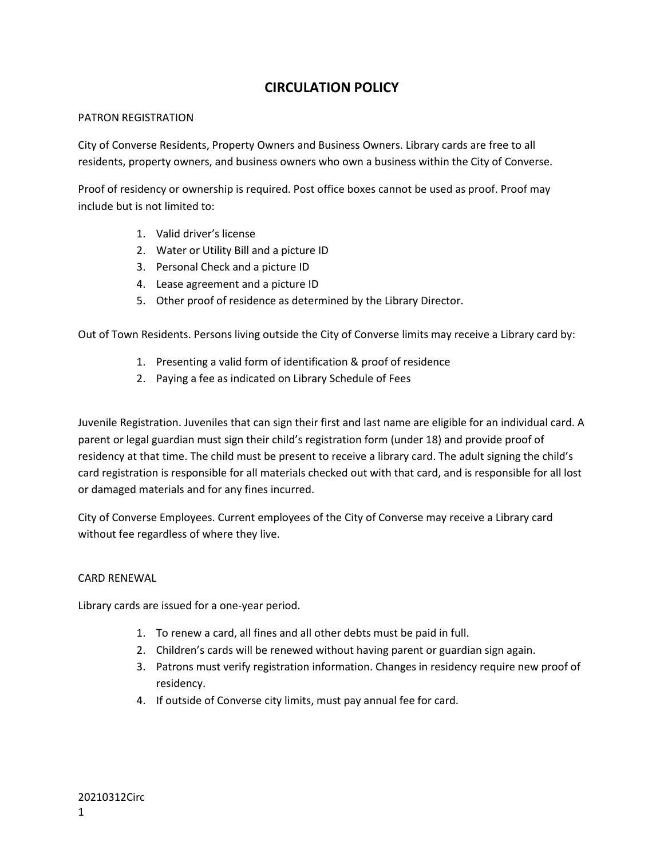# **CIRCULATION POLICY**

### PATRON REGISTRATION

City of Converse Residents, Property Owners and Business Owners. Library cards are free to all residents, property owners, and business owners who own a business within the City of Converse.

Proof of residency or ownership is required. Post office boxes cannot be used as proof. Proof may include but is not limited to:

- 1. Valid driver's license
- 2. Water or Utility Bill and a picture ID
- 3. Personal Check and a picture ID
- 4. Lease agreement and a picture ID
- 5. Other proof of residence as determined by the Library Director.

Out of Town Residents. Persons living outside the City of Converse limits may receive a Library card by:

- 1. Presenting a valid form of identification & proof of residence
- 2. Paying a fee as indicated on Library Schedule of Fees

Juvenile Registration. Juveniles that can sign their first and last name are eligible for an individual card. A parent or legal guardian must sign their child's registration form (under 18) and provide proof of residency at that time. The child must be present to receive a library card. The adult signing the child's card registration is responsible for all materials checked out with that card, and is responsible for all lost or damaged materials and for any fines incurred.

City of Converse Employees. Current employees of the City of Converse may receive a Library card without fee regardless of where they live.

# CARD RENEWAL

Library cards are issued for a one-year period.

- 1. To renew a card, all fines and all other debts must be paid in full.
- 2. Children's cards will be renewed without having parent or guardian sign again.
- 3. Patrons must verify registration information. Changes in residency require new proof of residency.
- 4. If outside of Converse city limits, must pay annual fee for card.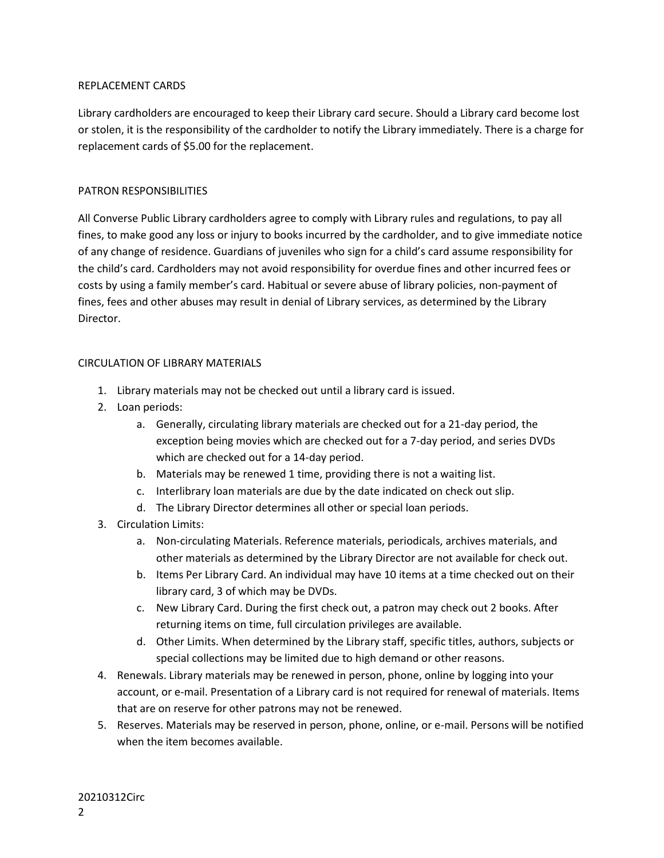## REPLACEMENT CARDS

Library cardholders are encouraged to keep their Library card secure. Should a Library card become lost or stolen, it is the responsibility of the cardholder to notify the Library immediately. There is a charge for replacement cards of \$5.00 for the replacement.

# PATRON RESPONSIBILITIES

All Converse Public Library cardholders agree to comply with Library rules and regulations, to pay all fines, to make good any loss or injury to books incurred by the cardholder, and to give immediate notice of any change of residence. Guardians of juveniles who sign for a child's card assume responsibility for the child's card. Cardholders may not avoid responsibility for overdue fines and other incurred fees or costs by using a family member's card. Habitual or severe abuse of library policies, non-payment of fines, fees and other abuses may result in denial of Library services, as determined by the Library Director.

## CIRCULATION OF LIBRARY MATERIALS

- 1. Library materials may not be checked out until a library card is issued.
- 2. Loan periods:
	- a. Generally, circulating library materials are checked out for a 21-day period, the exception being movies which are checked out for a 7-day period, and series DVDs which are checked out for a 14-day period.
	- b. Materials may be renewed 1 time, providing there is not a waiting list.
	- c. Interlibrary loan materials are due by the date indicated on check out slip.
	- d. The Library Director determines all other or special loan periods.
- 3. Circulation Limits:
	- a. Non-circulating Materials. Reference materials, periodicals, archives materials, and other materials as determined by the Library Director are not available for check out.
	- b. Items Per Library Card. An individual may have 10 items at a time checked out on their library card, 3 of which may be DVDs.
	- c. New Library Card. During the first check out, a patron may check out 2 books. After returning items on time, full circulation privileges are available.
	- d. Other Limits. When determined by the Library staff, specific titles, authors, subjects or special collections may be limited due to high demand or other reasons.
- 4. Renewals. Library materials may be renewed in person, phone, online by logging into your account, or e-mail. Presentation of a Library card is not required for renewal of materials. Items that are on reserve for other patrons may not be renewed.
- 5. Reserves. Materials may be reserved in person, phone, online, or e-mail. Persons will be notified when the item becomes available.